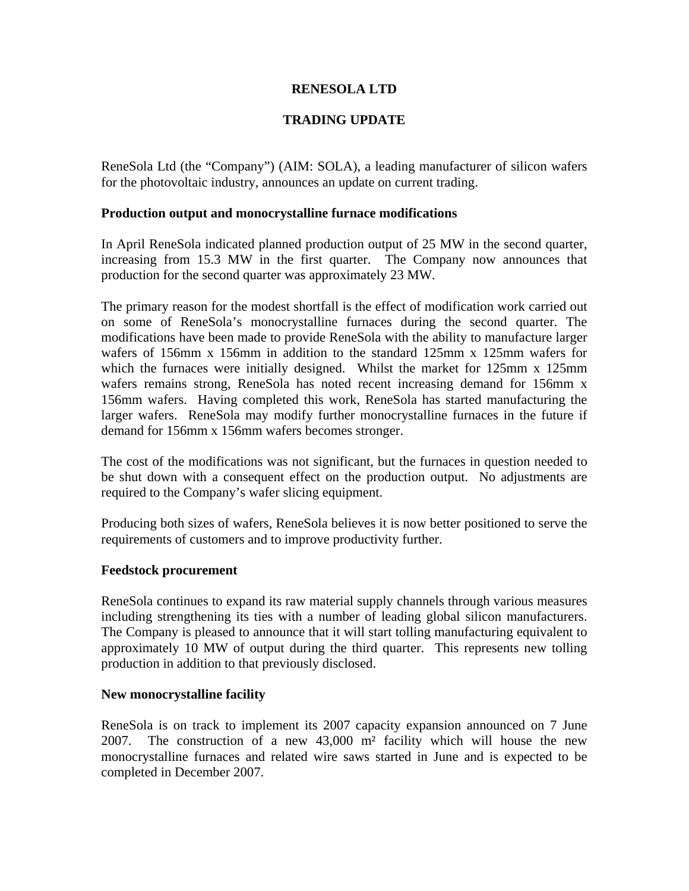## **RENESOLA LTD**

# **TRADING UPDATE**

ReneSola Ltd (the "Company") (AIM: SOLA), a leading manufacturer of silicon wafers for the photovoltaic industry, announces an update on current trading.

### **Production output and monocrystalline furnace modifications**

In April ReneSola indicated planned production output of 25 MW in the second quarter, increasing from 15.3 MW in the first quarter. The Company now announces that production for the second quarter was approximately 23 MW.

The primary reason for the modest shortfall is the effect of modification work carried out on some of ReneSola's monocrystalline furnaces during the second quarter. The modifications have been made to provide ReneSola with the ability to manufacture larger wafers of 156mm x 156mm in addition to the standard 125mm x 125mm wafers for which the furnaces were initially designed. Whilst the market for 125mm x 125mm wafers remains strong, ReneSola has noted recent increasing demand for 156mm x 156mm wafers. Having completed this work, ReneSola has started manufacturing the larger wafers. ReneSola may modify further monocrystalline furnaces in the future if demand for 156mm x 156mm wafers becomes stronger.

The cost of the modifications was not significant, but the furnaces in question needed to be shut down with a consequent effect on the production output. No adjustments are required to the Company's wafer slicing equipment.

Producing both sizes of wafers, ReneSola believes it is now better positioned to serve the requirements of customers and to improve productivity further.

### **Feedstock procurement**

ReneSola continues to expand its raw material supply channels through various measures including strengthening its ties with a number of leading global silicon manufacturers. The Company is pleased to announce that it will start tolling manufacturing equivalent to approximately 10 MW of output during the third quarter. This represents new tolling production in addition to that previously disclosed.

#### **New monocrystalline facility**

ReneSola is on track to implement its 2007 capacity expansion announced on 7 June 2007. The construction of a new 43,000 m² facility which will house the new monocrystalline furnaces and related wire saws started in June and is expected to be completed in December 2007.